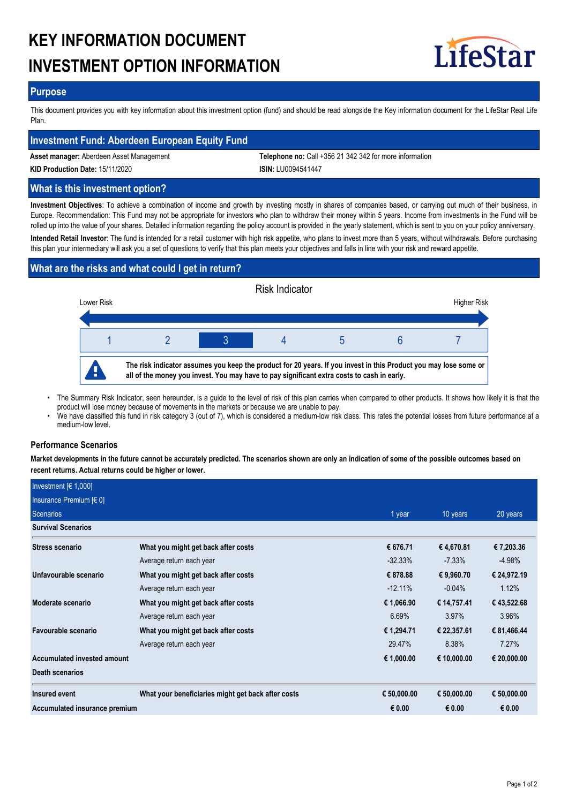# **KEY INFORMATION DOCUMENT INVESTMENT OPTION INFORMATION**



## **Purpose**

This document provides you with key information about this investment option (fund) and should be read alongside the Key information document for the LifeStar Real Life Plan.

## **Investment Fund: Aberdeen European Equity Fund**

**Asset manager:** Aberdeen Asset Management **Telephone no:** Call +356 21 342 342 for more information

**KID Production Date:** 15/11/2020 **ISIN:** LU0094541447

## **What is this investment option?**

**Investment Objectives**: To achieve a combination of income and growth by investing mostly in shares of companies based, or carrying out much of their business, in Europe. Recommendation: This Fund may not be appropriate for investors who plan to withdraw their money within 5 years. Income from investments in the Fund will be rolled up into the value of your shares. Detailed information regarding the policy account is provided in the yearly statement, which is sent to you on your policy anniversary.

**Intended Retail Investor**: The fund is intended for a retail customer with high risk appetite, who plans to invest more than 5 years, without withdrawals. Before purchasing this plan your intermediary will ask you a set of questions to verify that this plan meets your objectives and falls in line with your risk and reward appetite.

## **What are the risks and what could I get in return?**



The Summary Risk Indicator, seen hereunder, is a guide to the level of risk of this plan carries when compared to other products. It shows how likely it is that the product will lose money because of movements in the markets or because we are unable to pay. •

We have classified this fund in risk category 3 (out of 7), which is considered a medium-low risk class. This rates the potential losses from future performance at a medium-low level.

## **Performance Scenarios**

•

**Market developments in the future cannot be accurately predicted. The scenarios shown are only an indication of some of the possible outcomes based on recent returns. Actual returns could be higher or lower.**

| Investment $[6 1,000]$        |                                                    |             |             |             |
|-------------------------------|----------------------------------------------------|-------------|-------------|-------------|
| Insurance Premium $[6 0]$     |                                                    |             |             |             |
| Scenarios                     |                                                    | 1 year      | 10 years    | 20 years    |
| <b>Survival Scenarios</b>     |                                                    |             |             |             |
| <b>Stress scenario</b>        | What you might get back after costs                | € 676.71    | € 4,670.81  | € 7,203.36  |
|                               | Average return each year                           | $-32.33\%$  | $-7.33\%$   | $-4.98%$    |
| Unfavourable scenario         | What you might get back after costs                | € 878.88    | € 9,960.70  | € 24,972.19 |
|                               | Average return each year                           | $-12.11\%$  | $-0.04%$    | 1.12%       |
| Moderate scenario             | What you might get back after costs                | € 1,066.90  | € 14,757.41 | € 43,522.68 |
|                               | Average return each year                           | 6.69%       | 3.97%       | 3.96%       |
| Favourable scenario           | What you might get back after costs                | € 1,294.71  | € 22,357.61 | € 81,466.44 |
|                               | Average return each year                           | 29.47%      | 8.38%       | 7.27%       |
| Accumulated invested amount   |                                                    | € 1,000.00  | € 10,000.00 | € 20,000.00 |
| Death scenarios               |                                                    |             |             |             |
| <b>Insured event</b>          | What your beneficiaries might get back after costs | € 50,000.00 | € 50,000.00 | € 50,000.00 |
| Accumulated insurance premium |                                                    | € 0.00      | € 0.00      | € 0.00      |